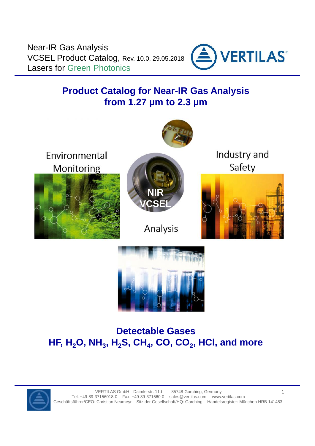

# **Product Catalog for Near-IR Gas Analysis from 1.27 µm to 2.3 µm**



# **Detectable Gases HF, H2O, NH<sup>3</sup> , H2S, CH<sup>4</sup> , CO, CO<sup>2</sup> , HCl, and more**



VERTILAS GmbH Daimlerstr. 11d 85748 Garching, Germany Tel: +49-89-37156018-0 Fax: +49-89-371560-0 sales@vertilas.com www.vertilas.com Geschäftsführer/CEO: Christian Neumeyr Sitz der Gesellschaft/HQ: Garching Handelsregister: München HRB 141483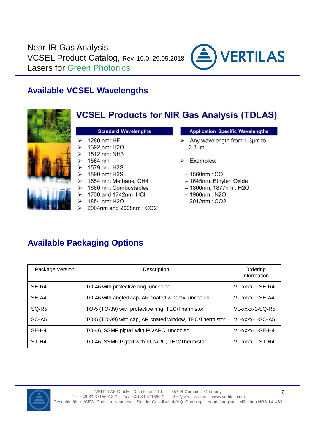

### **Available VCSEL Wavelengths**



### **Available Packaging Options**

| Package Version   | Description                                             | Ordering<br>Information |
|-------------------|---------------------------------------------------------|-------------------------|
| SE-R4             | TO-46 with protective ring, uncooled                    | $VL$ -xxxx-1-SE-R4      |
| SE-A4             | TO-46 with angled cap, AR coated window, uncooled       | VL-xxxx-1-SE-A4         |
| SQ-R <sub>5</sub> | TO-5 (TO-39) with protective ring, TEC/Thermistor       | VL-xxxx-1-SQ-R5         |
| SQ-A5             | TO-5 (TO-39) with cap, AR coated window, TEC/Thermistor | VL-xxxx-1-SQ-A5         |
| SE-H4             | TO-46, SSMF pigtail with FC/APC, uncooled               | VL-xxxx-1-SE-H4         |
| ST-H4             | TO-46, SSMF Pigtail with FC/APC, TEC/Thermistor         | VL-xxxx-1-ST-H4         |

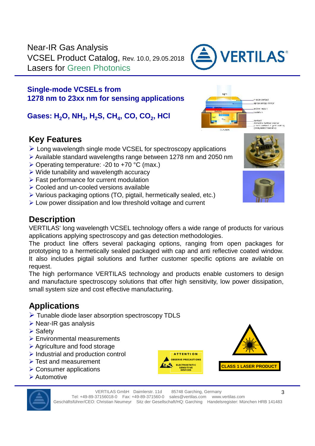#### **Single-mode VCSELs from 1278 nm to 23xx nm for sensing applications**

**Gases: H2O, NH<sup>3</sup> , H2S, CH<sup>4</sup> , CO, CO<sup>2</sup> , HCl**

### **Key Features**

- Long wavelength single mode VCSEL for spectroscopy applications
- Available standard wavelengths range between 1278 nm and 2050 nm
- $\triangleright$  Operating temperature: -20 to +70 °C (max.)
- $\triangleright$  Wide tunability and wavelength accuracy
- $\triangleright$  Fast performance for current modulation
- Cooled and un-cooled versions available
- $\triangleright$  Various packaging options (TO, pigtail, hermetically sealed, etc.)
- Extempt Low power dissipation and low threshold voltage and current

### **Description**

VERTILAS' long wavelength VCSEL technology offers a wide range of products for various applications applying spectroscopy and gas detection methodologies.

The product line offers several packaging options, ranging from open packages for prototyping to a hermetically sealed packaged with cap and anti reflective coated window. It also includes pigtail solutions and further customer specific options are avilable on request.

The high performance VERTILAS technology and products enable customers to design and manufacture spectroscopy solutions that offer high sensitivity, low power dissipation, small system size and cost effective manufacturing.

### **Applications**

- Tunable diode laser absorption spectroscopy TDLS
- $\triangleright$  Near-IR gas analysis
- $\triangleright$  Safety
- Environmental measurements
- Agriculture and food storage
- $\triangleright$  Industrial and production control
- $\triangleright$  Test and measurement
- **▶ Consumer applications**
- **▶ Automotive**









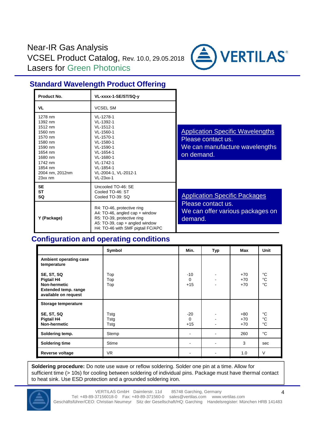

#### **Standard Wavelength Product Offering**

| Product No.                                                                                                                                         | VL-xxxx-1-SE/ST/SQ-y                                                                                                                                                                   |                                                                                                               |
|-----------------------------------------------------------------------------------------------------------------------------------------------------|----------------------------------------------------------------------------------------------------------------------------------------------------------------------------------------|---------------------------------------------------------------------------------------------------------------|
| VL                                                                                                                                                  | <b>VCSEL SM</b>                                                                                                                                                                        |                                                                                                               |
| 1278 nm<br>1392 nm<br>1512 nm<br>1560 nm<br>1570 nm<br>1580 nm<br>1590 nm<br>1654 nm<br>1680 nm<br>1742 nm<br>1854 nm<br>2004 nm, 2012nm<br>23xx nm | VL-1278-1<br>VL-1392-1<br>VL-1512-1<br>VL-1560-1<br>VL-1570-1<br>VL-1580-1<br>VL-1590-1<br>VL-1654-1<br>VL-1680-1<br>VL-1742-1<br>VL-1854-1<br>VL-2004-1, VL-2012-1<br>$VI - 23xx - 1$ | <b>Application Specific Wavelengths</b><br>Please contact us.<br>We can manufacture wavelengths<br>on demand. |
| <b>SE</b><br><b>ST</b><br><b>SQ</b>                                                                                                                 | Uncooled TO-46: SE<br>Cooled TO-46: ST<br>Cooled TO-39: SQ                                                                                                                             | <b>Application Specific Packages</b>                                                                          |
| Y (Package)                                                                                                                                         | R4: TO-46, protective ring<br>A4: TO-46, angled cap + window<br>R5: TO-39, protective ring<br>A5: TO-39, $cap + angled$ window<br>H4: TO-46 with SMF pigtail FC/APC                    | Please contact us.<br>We can offer various packages on<br>demand.                                             |

#### **Configuration and operating conditions**

|                                                                                                        | Symbol               | Min.                       | Typ                  | Max                     | <b>Unit</b>                               |
|--------------------------------------------------------------------------------------------------------|----------------------|----------------------------|----------------------|-------------------------|-------------------------------------------|
| Ambient operating case<br>temperature                                                                  |                      |                            |                      |                         |                                           |
| SE, ST, SQ<br>Pigtail H4<br><b>Non-hermetic</b><br><b>Extended temp. range</b><br>available on request | Top<br>Top<br>Top    | $-10$<br>$\Omega$<br>$+15$ | $\blacksquare$<br>۰. | $+70$<br>$+70$<br>$+70$ | $^{\circ}C$<br>$^{\circ}C$<br>$^{\circ}C$ |
| Storage temperature                                                                                    |                      |                            |                      |                         |                                           |
| SE, ST, SQ<br>Pigtail H4<br><b>Non-hermetic</b>                                                        | Tstg<br>Tstg<br>Tstg | $-20$<br>$\Omega$<br>$+15$ | -                    | $+80$<br>$+70$<br>$+70$ | $^{\circ}C$<br>$^{\circ}C$<br>$^{\circ}C$ |
| Soldering temp.                                                                                        | Stemp                | $\blacksquare$             | ۰                    | 260                     | $^{\circ}C$                               |
| <b>Soldering time</b>                                                                                  | <b>Stime</b>         | ۰                          | ۰                    | 3                       | sec                                       |
| Reverse voltage                                                                                        | VR.                  |                            |                      | 1.0                     | $\vee$                                    |

**Soldering procedure:** Do note use wave or reflow soldering. Solder one pin at a time. Allow for sufficient time (> 10s) for cooling between soldering of individual pins. Package must have thermal contact to heat sink. Use ESD protection and a grounded soldering iron.



VERTILAS GmbH Daimlerstr. 11d 85748 Garching, Germany Tel: +49-89-37156018-0 Fax: +49-89-371560-0 sales@vertilas.com www.vertilas.com Geschäftsführer/CEO: Christian Neumeyr Sitz der Gesellschaft/HQ: Garching Handelsregister: München HRB 141483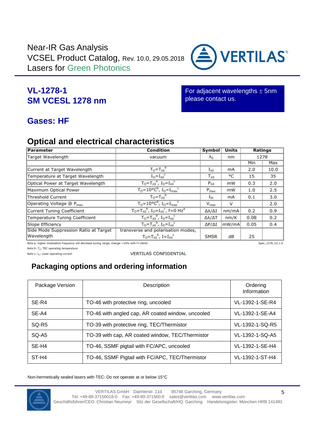

For adjacent wavelengths  $\pm$  5nm please contact us.

**VERTILAS**®

### **Gases: HF**

### **Optical and electrical characteristics**

| Parameter                                           | <b>Condition</b>                                                                      | <b>Symbol</b>            | <b>Units</b> |      | <b>Ratings</b> |
|-----------------------------------------------------|---------------------------------------------------------------------------------------|--------------------------|--------------|------|----------------|
| Target Wavelength                                   | vacuum                                                                                | $\lambda_0$              | nm           |      | 1278           |
|                                                     |                                                                                       |                          |              | Min  | Max            |
| Current at Target Wavelength                        | $T_0 = T_{\lambda 0}$                                                                 | $I_{\lambda 0}$          | mA           | 2.0  | 10.0           |
| Temperature at Target Wavelength                    | $I_0 = I_{\lambda 0}$                                                                 | $T_{\lambda 0}$          | $^{\circ}$ C | 15   | 35             |
| Optical Power at Target Wavelength                  | $T_0 = T_{\lambda 0}^P$ , $I_0 = I_{\lambda 0}^C$                                     | $P_{\lambda 0}$          | mW           | 0.3  | 2.0            |
| Maximum Optical Power                               | $T_0 = 10^{\circ}C^{\circ}$ , $I_0 = I_{max}$                                         | $P_{\text{max}}$         | mW           | 1.0  | 2.5            |
| <b>Threshold Current</b>                            | $T_0 = T_{\lambda 0}$                                                                 | $I_{th}$                 | <b>mA</b>    | 0.1  | 3.0            |
| Operating Voltage @ P <sub>max</sub>                | $T_0 = 10^{\circ}C^{\circ}$ , $I_0 = I_{max}$                                         | $V_{\text{max}}$         | $\vee$       |      | 2.0            |
| Current Tuning Coefficient                          | $T_0 = T_{\lambda 0}^b$ , $I_0 = I_{\lambda 0}^c$ , $f = 0$ Hz <sup>a</sup>           | $\Delta\lambda/\Delta I$ | nm/mA        | 0.2  | 0.9            |
| <b>Temperature Tuning Coefficient</b>               | $T_0 = T_{\lambda 0}$ , $I_0 = I_{\lambda 0}$                                         | $\Delta\lambda/\Delta T$ | nm/K         | 0.08 | 0.2            |
| Slope Efficiency                                    | $T_0 = T_{\lambda 0}^b$ , $I_0 = I_{\lambda 0}^c$                                     | $\Delta P/\Delta I$      | mW/mA        | 0.05 | 0.4            |
| Side Mode Suppression Ratio at Target<br>Wavelength | transverse and polarisation modes,<br>$T_0 = T_{\lambda 0}^b$ , $I = I_{\lambda 0}^c$ | <b>SMSR</b>              | dB           | 25   |                |

Note a: higher modulation frequency will decrease tuning range, change <10% with f<10kHz

Note b:  $T_0$ : TEC operating temperature

Note c: I<sub>o</sub>: Laser operating current

**VERTILAS CONFIDENTIAL** 

### **Packaging options and ordering information**

| Package Version   | Description                                       | Ordering<br>Information |  |
|-------------------|---------------------------------------------------|-------------------------|--|
| SE-R4             | TO-46 with protective ring, uncooled              | VL-1392-1-SE-R4         |  |
| SE-A4             | TO-46 with angled cap, AR coated window, uncooled | VL-1392-1-SE-A4         |  |
| SQ-R <sub>5</sub> | TO-39 with protective ring, TEC/Thermistor        | VL-1392-1-SQ-R5         |  |
| SQ-A5             | TO-39 with cap, AR coated window, TEC/Thermistor  | VL-1392-1-SQ-A5         |  |
| SE-H4             | TO-46, SSMF pigtail with FC/APC, uncooled         | VL-1392-1-SE-H4         |  |
| ST-H4             | TO-46, SSMF Pigtail with FC/APC, TEC/Thermistor   | VL-1392-1-ST-H4         |  |

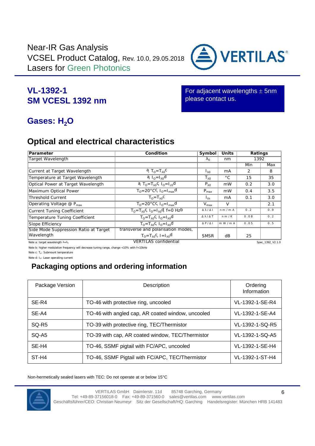

**VERTILAS**®

For adjacent wavelengths  $\pm$  5nm please contact us.

## **Gases: H<sub>2</sub>O**

### **Optical and electrical characteristics**

| Parameter                                      | Condition                                                              | Symbol                | <b>Units</b> | Ratings |     |
|------------------------------------------------|------------------------------------------------------------------------|-----------------------|--------------|---------|-----|
| Target Wavelength                              |                                                                        | $\Omega$              | nm           | 1392    |     |
|                                                |                                                                        |                       |              | Min     | Max |
| Current at Target Wavelength                   | a, $T_0 = T_0$ c                                                       | $\mathsf{L}_{\Omega}$ | mA           | 2       | 8   |
| Temperature at Target Wavelength               | $a_{n-1}$ <sub>0</sub> d                                               | $T_{0}$               | $^{\circ}$ C | 15      | 35  |
| Optical Power at Target Wavelength             | a, T <sub>o</sub> =T <sub>o</sub> c, I <sub>o</sub> =I <sub>co</sub> d | $P_0$                 | mW           | 0.2     | 3.0 |
| Maximum Optical Power                          | $T_0 = 20^\circ \text{C}$ c, $I_0 = \overline{I_{\text{max}} d}$       | $P_{\text{max}}$      | mW           | 0.4     | 3.5 |
| Threshold Current                              | $T_0 = T_0$                                                            | $I_{th}$              | mA           | 0.1     | 3.0 |
| Operating Voltage $\circledR$ P <sub>max</sub> | $T_0 = 20^\circ \text{C}$ c, $I_0 = I_{\text{max}}$ d                  | $V_{\text{max}}$      | V            |         | 2.1 |
| Current Tuning Coefficient                     | $T_0 = T_0C$ , $I_0 = I_0C$ , $f = 0$ Hzb                              | $\sqrt{ }$            | nm/mA        | 0.2     | 0.9 |
| Temperature Tuning Coefficient                 | $T_0 = T_0C_1 I_0 = T_0 d$                                             |                       | n m/K        | 0.08    | 0.2 |
| Slope Efficiency                               | $T_0 = T_0 C_1 I_0 = I_0 d$                                            | P/                    | m W / m A    | 0.05    | 0.5 |
| Side Mode Suppression Ratio at Target          | transverse and polarisation modes,                                     |                       |              |         |     |
| Wavelength                                     | $T_0 = T_0C_1 = 1_0d$                                                  | <b>SMSR</b>           | dB           | 25      |     |

Note a: target wavelength λ=λ<sub>0</sub> Spec\_1392\_V2.1.0 VERTILAS confidential Spec\_1392\_V2.1.0

Note b: higher modulation frequency will decrease tuning range, change <10% with f<10kHz

Note c:  $T_0$ : Submount temperature

Note d: I<sub>o</sub>: Laser operating current

### **Packaging options and ordering information**

| Package Version   | Description                                       | Ordering<br>Information |
|-------------------|---------------------------------------------------|-------------------------|
| SE-R4             | TO-46 with protective ring, uncooled              | VL-1392-1-SE-R4         |
| SE-A4             | TO-46 with angled cap, AR coated window, uncooled | VL-1392-1-SE-A4         |
| SQ-R <sub>5</sub> | TO-39 with protective ring, TEC/Thermistor        | VL-1392-1-SQ-R5         |
| $SO-45$           | TO-39 with cap, AR coated window, TEC/Thermistor  | VL-1392-1-SQ-A5         |
| SE-H4             | TO-46, SSMF pigtail with FC/APC, uncooled         | VL-1392-1-SE-H4         |
| ST-H4             | TO-46, SSMF Pigtail with FC/APC, TEC/Thermistor   | VL-1392-1-ST-H4         |

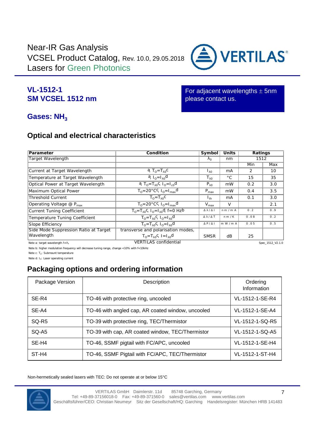

#### **VL-1512-1 SM VCSEL 1512 nm**

For adjacent wavelengths  $\pm$  5nm please contact us.

#### Gases: NH<sub>3</sub>

#### **Optical and electrical characteristics**

| Parameter                                       | Condition                                                                    | Symbol           | Units        | Ratings |                  |
|-------------------------------------------------|------------------------------------------------------------------------------|------------------|--------------|---------|------------------|
| Target Wavelength                               |                                                                              |                  | nm           | 1512    |                  |
|                                                 |                                                                              |                  |              | Min     | <b>Max</b>       |
| Current at Target Wavelength                    | a, $T_0 = T_0$ c                                                             | $\mathsf{L}_0$   | mA           | 2       | 10               |
| Temperature at Target Wavelength                | $a_{0}$ I <sub>o</sub> l a                                                   | $T_{0}$          | $^{\circ}$ C | 15      | 35               |
| Optical Power at Target Wavelength              | a, T <sub>0</sub> =T <sub>0</sub> c, $I_0=I_{c0}d$                           | $P_0$            | mW           | 0.2     | 3.0              |
| Maximum Optical Power                           | $T_0 = 20^\circ \text{C}$ <sup>C</sup> , $I_0 = I_{\text{max}}$ <sup>O</sup> | $P_{\text{max}}$ | mW           | 0.4     | 3.5              |
| Threshold Current                               | $T_0 = T_0 C$                                                                | $I_{th}$         | mA           | 0.1     | 3.0              |
| Operating Voltage $\circledR$ P <sub>max</sub>  | $T_0 = 20^\circ \text{CC}$ , $I_0 = I_{\text{max}}$ d                        | $V_{\text{max}}$ | V            |         | 2.1              |
| Current Tuning Coefficient                      | $T_0 = T_0C$ , $I_0 = I_0d$ , $f = 0$ Hzb                                    | $\sqrt{ }$       | n m / m A    | 0.2     | 0.9              |
| Temperature Tuning Coefficient                  | $T_0 = T_0C_1I_0 = I_0d$                                                     | / T              | n m/K        | 0.08    | 0.2              |
| Slope Efficiency                                | $T_0 = T_0C_1I_0 = I_0d$                                                     | P / I            | m W / m A    | 0.05    | 0.5              |
| Side Mode Suppression Ratio at Target           | transverse and polarisation modes,                                           |                  |              |         |                  |
| Wavelength                                      | $T_0 = T_0 C_1 = 1_0 d$                                                      | <b>SMSR</b>      | dB           | 25      |                  |
| Note a: target wavelength $\lambda = \lambda_0$ | <b>VERTILAS</b> confidential                                                 |                  |              |         | Snec 1512 V2 1.0 |

Note b: higher modulation frequency will decrease tuning range, change <10% with f<10kHz

Note c:  $T_0$ : Submount temperature

Note d: I<sub>o</sub>: Laser operating current

#### **Packaging options and ordering information**

| Package Version   | Description                                       | Ordering<br>Information |
|-------------------|---------------------------------------------------|-------------------------|
| SE-R4             | TO-46 with protective ring, uncooled              | VL-1512-1-SE-R4         |
| SE-A4             | TO-46 with angled cap, AR coated window, uncooled | VL-1512-1-SE-A4         |
| SQ-R <sub>5</sub> | TO-39 with protective ring, TEC/Thermistor        | VL-1512-1-SQ-R5         |
| SQ-A5             | TO-39 with cap, AR coated window, TEC/Thermistor  | VL-1512-1-SQ-A5         |
| SE-H4             | TO-46, SSMF pigtail with FC/APC, uncooled         | VL-1512-1-SE-H4         |
| ST-H4             | TO-46, SSMF Pigtail with FC/APC, TEC/Thermistor   | VL-1512-1-ST-H4         |

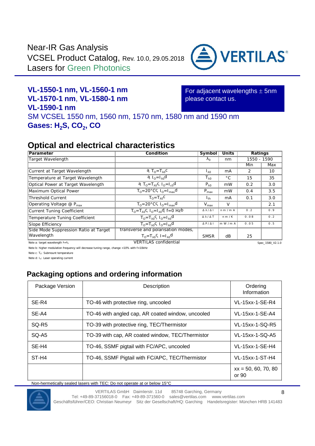

### **VL-1550-1 nm, VL-1560-1 nm VL-1570-1 nm**, **VL-1580-1 nm VL-1590-1 nm**

For adjacent wavelengths  $\pm$  5nm please contact us.

SM VCSEL 1550 nm, 1560 nm, 1570 nm, 1580 nm and 1590 nm **Gases: H2S, CO<sup>2</sup> , CO**

### **Optical and electrical characteristics**

| Parameter                                        | Condition                                                              | Symbol           | Units        | Ratings     |                  |
|--------------------------------------------------|------------------------------------------------------------------------|------------------|--------------|-------------|------------------|
| Target Wavelength                                |                                                                        | $\Omega$         | nm           | 1550 - 1590 |                  |
|                                                  |                                                                        |                  |              | Min         | Max              |
| Current at Target Wavelength                     | a, $T_0 = T_0$ c                                                       | $\mathsf{L}_0$   | mA           | 2           | 10               |
| Temperature at Target Wavelength                 | $a_{10} = 10$                                                          | $T_{0}$          | $^{\circ}$ C | 15          | 35               |
| Optical Power at Target Wavelength               | a, T <sub>0</sub> =T <sub>0</sub> c, I <sub>0</sub> =I <sub>c0</sub> d | $P_0$            | mW           | 0.2         | 3.0              |
| Maximum Optical Power                            | $T_0 = 20^\circ \text{C}$ c, $I_0 = I_{\text{max}}$ d                  | $P_{\text{max}}$ | mW           | 0.4         | 3.5              |
| Threshold Current                                | $T_0 = T_0$                                                            | $I_{th}$         | mA           | 0.1         | 3.0              |
| Operating Voltage $\mathcal{Q}$ P <sub>max</sub> | $TO=20°C$ , $IO=Imaxd$                                                 | $V_{\text{max}}$ | $\vee$       |             | 2.1              |
| Current Tuning Coefficient                       | $T_0 = T_0C$ , $I_0 = I_0C$ , $f = 0$ Hzb                              | $\prime$ 1       | n m/m A      | 0.2         | 0.9              |
| Temperature Tuning Coefficient                   | $T_0 = T_0C_1I_0 = I_0d$                                               | / T              | n m/K        | 0.08        | 0.2              |
| Slope Efficiency                                 | $T_0 = T_0C_1I_0 = T_0d$                                               | P / I            | m W / m A    | 0.05        | 0.5              |
| Side Mode Suppression Ratio at Target            | transverse and polarisation modes,                                     |                  |              |             |                  |
| Wavelength                                       | $T_0 = T_0C_1 = 1_0d$                                                  | <b>SMSR</b>      | dB           | 25          |                  |
| Note a: target wavelength $\lambda = \lambda_0$  | <b>VERTILAS</b> confidential                                           |                  |              |             | Spec_1580_V2.1.0 |

Note b: higher modulation frequency will decrease tuning range, change <10% with f<10kHz

Note c: T<sub>o</sub>: Submount temperature

Note d: I<sub>o</sub>: Laser operating current

#### **Packaging options and ordering information**

| Package Version | Description                                       | Ordering<br>Information        |
|-----------------|---------------------------------------------------|--------------------------------|
| SE-R4           | TO-46 with protective ring, uncooled              | VL-15xx-1-SE-R4                |
| SE-A4           | TO-46 with angled cap, AR coated window, uncooled | VL-15xx-1-SE-A4                |
| SQ-R5           | TO-39 with protective ring, TEC/Thermistor        | VL-15xx-1-SQ-R5                |
| SQ-A5           | TO-39 with cap, AR coated window, TEC/Thermistor  | VL-15xx-1-SQ-A5                |
| SE-H4           | TO-46, SSMF pigtail with FC/APC, uncooled         | VL-15xx-1-SE-H4                |
| ST-H4           | TO-46, SSMF Pigtail with FC/APC, TEC/Thermistor   | VL-15xx-1-ST-H4                |
|                 |                                                   | $xx = 50, 60, 70, 80$<br>or 90 |

Non-hermetically sealed lasers with TEC: Do not operate at or below 15°C



VERTILAS GmbH Daimlerstr. 11d 85748 Garching, Germany Tel: +49-89-37156018-0 Fax: +49-89-371560-0 sales@vertilas.com www.vertilas.com Geschäftsführer/CEO: Christian Neumeyr Sitz der Gesellschaft/HQ: Garching Handelsregister: München HRB 141483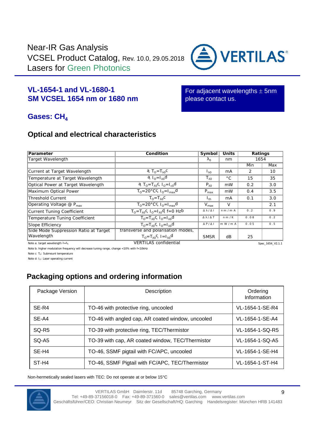

#### **VL-1654-1 and VL-1680-1 SM VCSEL 1654 nm or 1680 nm**

For adjacent wavelengths  $\pm$  5nm please contact us.

#### Gases: CH<sub>4</sub>

#### **Optical and electrical characteristics**

| Parameter                                       | Condition                                                              | Symbol           | <b>Units</b> | Ratings |                  |
|-------------------------------------------------|------------------------------------------------------------------------|------------------|--------------|---------|------------------|
| Target Wavelength                               |                                                                        | $\Omega$         | nm           |         | 1654             |
|                                                 |                                                                        |                  |              | Min     | Max              |
| Current at Target Wavelength                    | a, $T_0 = T_0$ c                                                       | $\mathsf{L}_0$   | mA           | 2       | 10               |
| Temperature at Target Wavelength                | $a_{0} = 1_0 d$                                                        | $T_{0}$          | $^{\circ}$ C | 15      | 35               |
| Optical Power at Target Wavelength              | a, T <sub>o</sub> =T <sub>o</sub> c, I <sub>o</sub> =I <sub>c0</sub> d | $P_0$            | mW           | 0.2     | 3.0              |
| Maximum Optical Power                           | $T_0 = 20^\circ \text{C}$ , $I_0 = I_{\text{max}}$                     | $P_{\text{max}}$ | mW           | 0.4     | 3.5              |
| Threshold Current                               | $T_0 = T_0$                                                            | $I_{th}$         | mA           | 0.1     | 3.0              |
| Operating Voltage $\omega$ P <sub>max</sub>     | $T_0 = 20^\circ \text{C}$ , $I_0 = I_{\text{max}}$ d                   | $V_{\text{max}}$ | V            |         | 2.1              |
| Current Tuning Coefficient                      | $T_0 = T_0C$ , $I_0 = I_0d$ , $f = 0$ Hzb                              | $\sqrt{ }$       | nm/mA        | 0.2     | 0.9              |
| Temperature Tuning Coefficient                  | $T_0 = T_0C_1 I_0 = T_0 d$                                             | / T              | n m/K        | 0.08    | 0.2              |
| Slope Efficiency                                | $T_0 = T_0C_1I_0 = T_0d$                                               | P/               | m W/m A      | 0.05    | 0.5              |
| Side Mode Suppression Ratio at Target           | transverse and polarisation modes,                                     |                  |              |         |                  |
| Wavelength                                      | $T_0 = T_0 C_1 = 1_0 d$                                                | <b>SMSR</b>      | dB           | 25      |                  |
| Note a: target wavelength $\lambda = \lambda_0$ | <b>VERTILAS</b> confidential                                           |                  |              |         | Spec_1654_V2.1.1 |

Note b: higher modulation frequency will decrease tuning range, change <10% with f<10kHz

Note c:  $T_0$ : Submount temperature

Note d: I<sub>o</sub>: Laser operating current

### **Packaging options and ordering information**

| Package Version   | Description                                       | Ordering<br>Information |
|-------------------|---------------------------------------------------|-------------------------|
| SE-R4             | TO-46 with protective ring, uncooled              | VL-1654-1-SE-R4         |
| SE-A4             | TO-46 with angled cap, AR coated window, uncooled | VL-1654-1-SE-A4         |
| SQ-R <sub>5</sub> | TO-39 with protective ring, TEC/Thermistor        | VL-1654-1-SQ-R5         |
| SQ-A5             | TO-39 with cap, AR coated window, TEC/Thermistor  | VL-1654-1-SQ-A5         |
| SE-H4             | TO-46, SSMF pigtail with FC/APC, uncooled         | VL-1654-1-SE-H4         |
| ST-H4             | TO-46, SSMF Pigtail with FC/APC, TEC/Thermistor   | VL-1654-1-ST-H4         |

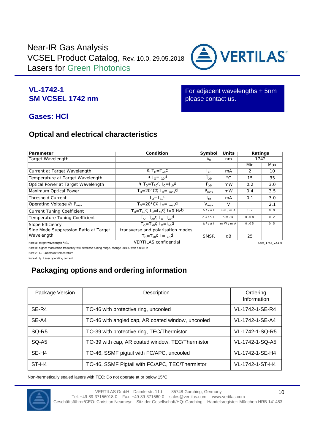

#### **VL-1742-1 SM VCSEL 1742 nm**

For adjacent wavelengths  $\pm$  5nm please contact us.

### **Gases: HCl**

#### **Optical and electrical characteristics**

| Parameter                                       | Condition                                                              | Symbol           | <b>Units</b> |                | Ratings          |
|-------------------------------------------------|------------------------------------------------------------------------|------------------|--------------|----------------|------------------|
| Target Wavelength                               |                                                                        | $\circ$          | nm           |                | 1742             |
|                                                 |                                                                        |                  |              | Min            | Max              |
| Current at Target Wavelength                    | a, $T_0 = T_0$ c                                                       | $\mathsf{L}_0$   | mA           | $\overline{2}$ | 10               |
| Temperature at Target Wavelength                | $a_{10} = 10$                                                          | $T_{0}$          | $^{\circ}$ C | 15             | 35               |
| Optical Power at Target Wavelength              | a, T <sub>0</sub> =T <sub>0</sub> c, I <sub>0</sub> =I <sub>c0</sub> d | $P_0$            | mW           | 0.2            | 3.0              |
| Maximum Optical Power                           | $T_0 = 20^\circ \text{C}$ C, $I_0 = I_{\text{max}}$ d                  | $P_{\text{max}}$ | mW           | 0.4            | 3.5              |
| Threshold Current                               | $T_0 = T_0C$                                                           | $I_{th}$         | mA           | 0.1            | 3.0              |
| Operating Voltage $\circledR$ P <sub>max</sub>  | $T_0 = 20^\circ \text{C}$ C, $I_0 = I_{\text{max}}$ d                  | $V_{\text{max}}$ | V            |                | 2.1              |
| Current Tuning Coefficient                      | $T_0 = T_0C$ , $I_0 = I_0d$ , $f = 0$ Hzb                              | $\sqrt{ }$       | n m / m A    | 0.2            | 0.9              |
| Temperature Tuning Coefficient                  | $T_0 = T_0C_1 = 1_0d$                                                  | / T              | n m/K        | 0.08           | 0.2              |
| Slope Efficiency                                | $T_0 = T_0C_1I_0 = I_0d$                                               | P / I            | m W / m A    | 0.05           | 0.5              |
| Side Mode Suppression Ratio at Target           | transverse and polarisation modes,                                     |                  |              |                |                  |
| Wavelength                                      | $T_0 = T_0 C_1 = 1_0 d$                                                | <b>SMSR</b>      | dB           | 25             |                  |
| Note a: target wavelength $\lambda = \lambda_0$ | <b>VERTILAS</b> confidential                                           |                  |              |                | Snec 1742 V2 1.0 |

Note b: higher modulation frequency will decrease tuning range, change <10% with f<10kHz

Note c:  $T_0$ : Submount temperature

Note d: I<sub>o</sub>: Laser operating current

### **Packaging options and ordering information**

| Package Version   | Description                                       | Ordering<br>Information |
|-------------------|---------------------------------------------------|-------------------------|
| SE-R4             | TO-46 with protective ring, uncooled              | VL-1742-1-SE-R4         |
| SE-A4             | TO-46 with angled cap, AR coated window, uncooled | VL-1742-1-SE-A4         |
| SQ-R <sub>5</sub> | TO-39 with protective ring, TEC/Thermistor        | VL-1742-1-SQ-R5         |
| SQ-A5             | TO-39 with cap, AR coated window, TEC/Thermistor  | VL-1742-1-SQ-A5         |
| SE-H4             | TO-46, SSMF pigtail with FC/APC, uncooled         | VL-1742-1-SE-H4         |
| ST-H4             | TO-46, SSMF Pigtail with FC/APC, TEC/Thermistor   | VL-1742-1-ST-H4         |

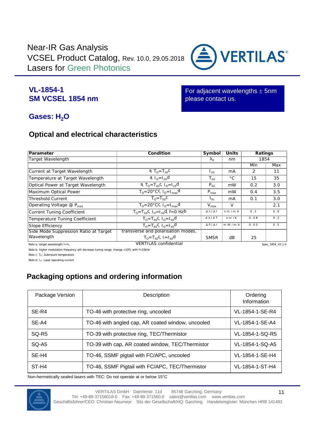

#### **VL-1854-1 SM VCSEL 1854 nm**

For adjacent wavelengths  $\pm$  5nm please contact us.

### **Gases: H<sub>2</sub>O**

#### **Optical and electrical characteristics**

| Parameter                                       | Condition                                                             | Symbol           | Units        |      | Ratings          |
|-------------------------------------------------|-----------------------------------------------------------------------|------------------|--------------|------|------------------|
| Target Wavelength                               |                                                                       | $\Omega$         | nm           |      | 1854             |
|                                                 |                                                                       |                  |              | Min  | Max              |
| Current at Target Wavelength                    | a, $T_0 = T_0$ c                                                      | $\mathsf{L}_0$   | mA           | 2    | 11               |
| Temperature at Target Wavelength                | $a_{n-1}$ <sub>0</sub> d                                              | $T_{0}$          | $^{\circ}$ C | 15   | 35               |
| Optical Power at Target Wavelength              | a T <sub>0</sub> =T <sub>0</sub> C, I <sub>0</sub> =I <sub>c0</sub> d | $P_0$            | mW           | 0.2  | 3.0              |
| Maximum Optical Power                           | $T_0 = 20^\circ \text{C}$ c, $I_0 = I_{\text{max}} d$                 | $P_{\text{max}}$ | mW           | 0.4  | 3.5              |
| <b>Threshold Current</b>                        | $T_0 = T_0C$                                                          | $I_{th}$         | mA           | 0.1  | 3.0              |
| Operating Voltage $\omega$ P <sub>max</sub>     | $T_0 = 20^\circ \text{C}$ , $I_0 = I_{\text{max}}$ d                  | $V_{\text{max}}$ | V            |      | 2.1              |
| Current Tuning Coefficient                      | $T_0 = T_0C$ , $I_0 = I_0d$ , $f = 0$ Hzb                             | $/$ 1            | n m / m A    | 0.2  | 0.9              |
| Temperature Tuning Coefficient                  | $T_0 = T_0C_1 \overline{I_0} = T_0$                                   | / T              | n m/K        | 0.08 | 0.2              |
| Slope Efficiency                                | $T_0 = T_0C_1 I_0 = I_0 d$                                            | P/               | m W / m A    | 0.05 | 0.5              |
| Side Mode Suppression Ratio at Target           | transverse and polarisation modes,                                    |                  |              |      |                  |
| Wavelength                                      | $T_0 = T_0C_1 = 1_0d$                                                 | <b>SMSR</b>      | dB           | 25   |                  |
| Note a: target wavelength $\lambda = \lambda_0$ | <b>VERTILAS</b> confidential                                          |                  |              |      | Spec_1854_V2.1.0 |

Note b: higher modulation frequency will decrease tuning range, change <10% with f<10kHz

Note c: To: Submount temperature

Note d: I<sub>o</sub>: Laser operating current

### **Packaging options and ordering information**

| Package Version | Description                                       | Ordering<br>Information |
|-----------------|---------------------------------------------------|-------------------------|
| SE-R4           | TO-46 with protective ring, uncooled              | VL-1854-1-SE-R4         |
| SE-A4           | TO-46 with angled cap, AR coated window, uncooled | VL-1854-1-SE-A4         |
| SQ-R5           | TO-39 with protective ring, TEC/Thermistor        | VL-1854-1-SQ-R5         |
| SQ-A5           | TO-39 with cap, AR coated window, TEC/Thermistor  | VL-1854-1-SQ-A5         |
| SE-H4           | TO-46, SSMF pigtail with FC/APC, uncooled         | VL-1854-1-SE-H4         |
| ST-H4           | TO-46, SSMF Pigtail with FC/APC, TEC/Thermistor   | VL-1854-1-ST-H4         |

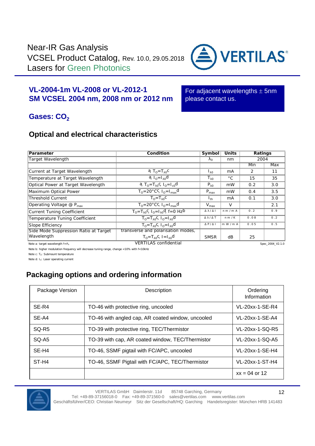

#### **VL-2004-1m VL-2008 orVL-2012-1 SM VCSEL 2004 nm, 2008 nm or 2012 nm**

For adjacent wavelengths  $\pm$  5nm please contact us.

### **Gases: CO<sub>2</sub>**

#### **Optical and electrical characteristics**

| Parameter                                       | Condition                                 | Symbol                | Units        |      | Ratings          |
|-------------------------------------------------|-------------------------------------------|-----------------------|--------------|------|------------------|
| Target Wavelength                               |                                           | $\Omega$              | nm           |      | 2004             |
|                                                 |                                           |                       |              | Min  | Max              |
| Current at Target Wavelength                    | a, $T_0 = T_0$ c                          | $\mathsf{L}_{\Omega}$ | mA           | 2    | 11               |
| Temperature at Target Wavelength                | $a_{n-1}$ <sub>0</sub> d                  | $T_{0}$               | $^{\circ}$ C | 15   | 35               |
| Optical Power at Target Wavelength              | a, $T_0 = T_0$ c, $I_0 = I_{c0}$ d        | $P_0$                 | mW           | 0.2  | 3.0              |
| Maximum Optical Power                           | $T_0 = 20^\circ$ CC, $I_0 = I_{max}$ d    | $P_{\text{max}}$      | mW           | 0.4  | 3.5              |
| <b>Threshold Current</b>                        | $T_0 = T_0$                               | $I_{th}$              | mA           | 0.1  | 3.0              |
| Operating Voltage @ $P_{\text{max}}$            | $T_0 = 20^\circ$ CC, $I_0 = I_{max}$ d    | $V_{\text{max}}$      | V            |      | 2.1              |
| Current Tuning Coefficient                      | $T_0 = T_0C$ , $I_0 = I_0d$ , $f = 0$ Hzb | $\prime$ 1            | nm/mA        | 0.2  | 0.9              |
| Temperature Tuning Coefficient                  | $T_0 = T_0C_1 \overline{I_0} = T_0$       |                       | n m/K        | 0.08 | 0.2              |
| Slope Efficiency                                | $T_0 = T_0 C_1 I_0 = I_0 d$               | P/                    | m W/m A      | 0.05 | 0.5              |
| Side Mode Suppression Ratio at Target           | transverse and polarisation modes,        |                       |              |      |                  |
| Wavelength                                      | $T_0 = T_0C_1 = 1_0d$                     | <b>SMSR</b>           | dB           | 25   |                  |
| Note a: target wavelength $\lambda = \lambda_0$ | <b>VERTILAS</b> confidential              |                       |              |      | Spec 2004 V2.1.0 |

Note b: higher modulation frequency will decrease tuning range, change <10% with f<10kHz

Note c: T<sub>o</sub>: Submount temperature

Note d: I<sub>o</sub>: Laser operating current

#### **Packaging options and ordering information**

| Package Version   | Description                                       | Ordering<br>Information |
|-------------------|---------------------------------------------------|-------------------------|
| SE-R4             | TO-46 with protective ring, uncooled              | VL-20xx-1-SE-R4         |
| SE-A4             | TO-46 with angled cap, AR coated window, uncooled | VL-20xx-1-SE-A4         |
| SQ-R <sub>5</sub> | TO-39 with protective ring, TEC/Thermistor        | VL-20xx-1-SQ-R5         |
| SQ-A5             | TO-39 with cap, AR coated window, TEC/Thermistor  | VL-20xx-1-SQ-A5         |
| SE-H4             | TO-46, SSMF pigtail with FC/APC, uncooled         | VL-20xx-1-SE-H4         |
| ST-H4             | TO-46, SSMF Pigtail with FC/APC, TEC/Thermistor   | VL-20xx-1-ST-H4         |
|                   |                                                   | $xx = 04$ or 12         |

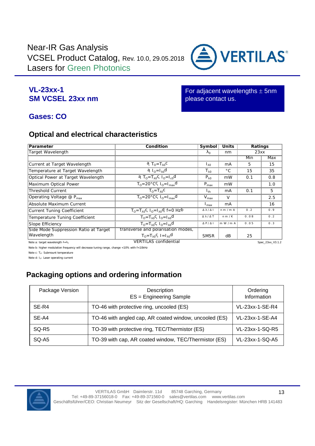

#### **VL-23xx-1 SM VCSEL 23xx nm**

For adjacent wavelengths  $\pm$  5nm please contact us.

### **Gases: CO**

#### **Optical and electrical characteristics**

| Parameter                                       | Condition                                                              | Symbol           | Units        |      | Ratings          |
|-------------------------------------------------|------------------------------------------------------------------------|------------------|--------------|------|------------------|
| Target Wavelength                               |                                                                        | $\Omega$         | nm           |      | 23xx             |
|                                                 |                                                                        |                  |              | Min  | Max              |
| Current at Target Wavelength                    | $T_0 = T_0C$                                                           | Ιŋ               | mA           | 5.   | 15               |
| Temperature at Target Wavelength                | $a_{0} = 1_0 d$                                                        | $T_{0}$          | $^{\circ}$ C | 15   | 35               |
| Optical Power at Target Wavelength              | a, T <sub>0</sub> =T <sub>0</sub> c, I <sub>0</sub> =I <sub>c0</sub> d | $P_0$            | mW           | 0.1  | 0.8              |
| Maximum Optical Power                           | $TO=20°C$ , $IO=Imaxd$                                                 | $P_{\text{max}}$ | mW           |      | 1.0              |
| <b>Threshold Current</b>                        | $T_0 = T_0$                                                            | $I_{th}$         | mA           | 0.1  | 5                |
| Operating Voltage $@P_{max}$                    | $T_0 = 20^\circ \text{C}$ , $I_0 = I_{\text{max}}$ d                   | $V_{\text{max}}$ | $\vee$       |      | 2.5              |
| Absolute Maximum Current                        |                                                                        | $I_{\text{max}}$ | mA           |      | 16               |
| Current Tuning Coefficient                      | $T_0 = T_0C$ , $I_0 = T_0d$ , $f = 0$ Hzb                              | $\prime$ 1       | nm/mA        | 0.2  | 0.9              |
| Temperature Tuning Coefficient                  | $T_0 = T_0C_1 I_0 = I_0 d$                                             | / T              | n m/K        | 0.08 | 0.2              |
| Slope Efficiency                                | $T_0 = T_0C$ , $I_0 = I_0d$                                            | P /              | m W / m A    | 0.05 | 0.3              |
| Side Mode Suppression Ratio at Target           | transverse and polarisation modes,                                     |                  |              |      |                  |
| Wavelength                                      | $T_0 = T_0C_1 = 1_0d$                                                  | <b>SMSR</b>      | dB           | 25   |                  |
| Note a: target wavelength $\lambda = \lambda_0$ | <b>VERTILAS</b> confidential                                           |                  |              |      | Spec 23xx V3.1.2 |

Note b: higher modulation frequency will decrease tuning range, change <10% with f<10kHz

Note c:  $T_0$ : Submount temperature

Note d: I<sub>o</sub>: Laser operating current

### **Packaging options and ordering information**

| Package Version   | Description<br>ES = Engineering Sample                 | Ordering<br>Information |
|-------------------|--------------------------------------------------------|-------------------------|
| SE-R4             | TO-46 with protective ring, uncooled (ES)              | VL-23xx-1-SE-R4         |
| SE-A4             | TO-46 with angled cap, AR coated window, uncooled (ES) | VL-23xx-1-SE-A4         |
| SQ-R <sub>5</sub> | TO-39 with protective ring, TEC/Thermistor (ES)        | VL-23xx-1-SQ-R5         |
| SQ-A5             | TO-39 with cap, AR coated window, TEC/Thermistor (ES)  | VL-23xx-1-SQ-A5         |